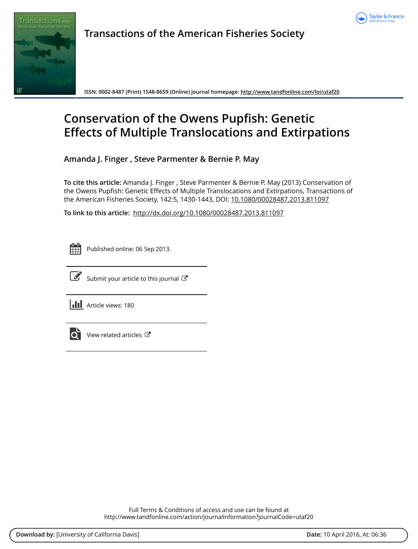



**Transactions of the American Fisheries Society**

**ISSN: 0002-8487 (Print) 1548-8659 (Online) Journal homepage:<http://www.tandfonline.com/loi/utaf20>**

# **Conservation of the Owens Pupfish: Genetic Effects of Multiple Translocations and Extirpations**

**Amanda J. Finger , Steve Parmenter & Bernie P. May**

**To cite this article:** Amanda J. Finger , Steve Parmenter & Bernie P. May (2013) Conservation of the Owens Pupfish: Genetic Effects of Multiple Translocations and Extirpations, Transactions of the American Fisheries Society, 142:5, 1430-1443, DOI: [10.1080/00028487.2013.811097](http://www.tandfonline.com/action/showCitFormats?doi=10.1080/00028487.2013.811097)

**To link to this article:** <http://dx.doi.org/10.1080/00028487.2013.811097>

| - | _ | <b>Service Service</b> |
|---|---|------------------------|
|   |   |                        |
|   |   |                        |
|   |   |                        |

Published online: 06 Sep 2013.



 $\overline{\mathscr{L}}$  [Submit your article to this journal](http://www.tandfonline.com/action/authorSubmission?journalCode=utaf20&page=instructions)  $\mathbb{Z}$ 

**III** Article views: 180



 $\overrightarrow{Q}$  [View related articles](http://www.tandfonline.com/doi/mlt/10.1080/00028487.2013.811097)  $\overrightarrow{C}$ 

Full Terms & Conditions of access and use can be found at <http://www.tandfonline.com/action/journalInformation?journalCode=utaf20>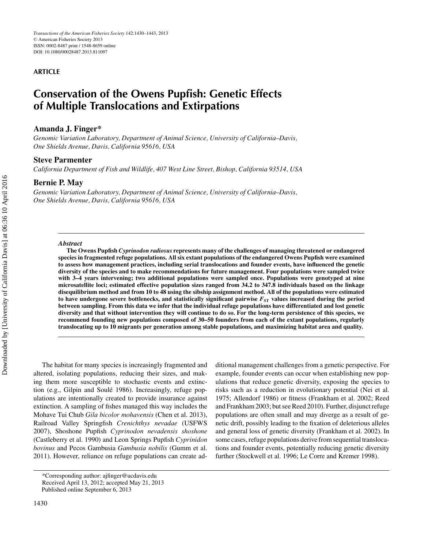#### **ARTICLE**

## **Conservation of the Owens Pupfish: Genetic Effects of Multiple Translocations and Extirpations**

#### **Amanda J. Finger\***

*Genomic Variation Laboratory, Department of Animal Science, University of California–Davis, One Shields Avenue, Davis, California 95616, USA*

#### **Steve Parmenter**

*California Department of Fish and Wildlife, 407 West Line Street, Bishop, California 93514, USA*

#### **Bernie P. May**

*Genomic Variation Laboratory, Department of Animal Science, University of California–Davis, One Shields Avenue, Davis, California 95616, USA*

#### *Abstract*

**The Owens Pupfish** *Cyprinodon radiosus* **represents many of the challenges of managing threatened or endangered species in fragmented refuge populations. All six extant populations of the endangered Owens Pupfish were examined to assess how management practices, including serial translocations and founder events, have influenced the genetic diversity of the species and to make recommendations for future management. Four populations were sampled twice with 3–4 years intervening; two additional populations were sampled once. Populations were genotyped at nine microsatellite loci; estimated effective population sizes ranged from 34.2 to 347.8 individuals based on the linkage disequilibrium method and from 10 to 48 using the sibship assignment method. All of the populations were estimated** to have undergone severe bottlenecks, and statistically significant pairwise  $F_{ST}$  values increased during the period **between sampling. From this data we infer that the individual refuge populations have differentiated and lost genetic diversity and that without intervention they will continue to do so. For the long-term persistence of this species, we recommend founding new populations composed of 30–50 founders from each of the extant populations, regularly translocating up to 10 migrants per generation among stable populations, and maximizing habitat area and quality.**

The habitat for many species is increasingly fragmented and altered, isolating populations, reducing their sizes, and making them more susceptible to stochastic events and extinction (e.g., Gilpin and Soulé 1986). Increasingly, refuge populations are intentionally created to provide insurance against extinction. A sampling of fishes managed this way includes the Mohave Tui Chub *Gila bicolor mohavensis* (Chen et al. 2013), Railroad Valley Springfish *Crenichthys nevadae* (USFWS 2007), Shoshone Pupfish *Cyprinodon nevadensis shoshone* (Castleberry et al. 1990) and Leon Springs Pupfish *Cyprinidon bovinus* and Pecos Gambusia *Gambusia nobilis* (Gumm et al. 2011). However, reliance on refuge populations can create ad-

ditional management challenges from a genetic perspective. For example, founder events can occur when establishing new populations that reduce genetic diversity, exposing the species to risks such as a reduction in evolutionary potential (Nei et al. 1975; Allendorf 1986) or fitness (Frankham et al. 2002; Reed and Frankham 2003; but see Reed 2010). Further, disjunct refuge populations are often small and may diverge as a result of genetic drift, possibly leading to the fixation of deleterious alleles and general loss of genetic diversity (Frankham et al. 2002). In some cases, refuge populations derive from sequential translocations and founder events, potentially reducing genetic diversity further (Stockwell et al. 1996; Le Corre and Kremer 1998).

<sup>\*</sup>Corresponding author: ajfinger@ucdavis.edu Received April 13, 2012; accepted May 21, 2013 Published online September 6, 2013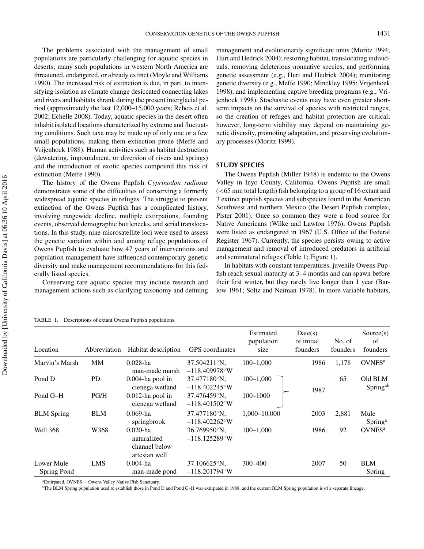The problems associated with the management of small populations are particularly challenging for aquatic species in deserts; many such populations in western North America are threatened, endangered, or already extinct (Moyle and Williams 1990). The increased risk of extinction is due, in part, to intensifying isolation as climate change desiccated connecting lakes and rivers and habitats shrank during the present interglacial period (approximately the last 12,000–15,000 years; Reheis et al. 2002; Echelle 2008). Today, aquatic species in the desert often inhabit isolated locations characterized by extreme and fluctuating conditions. Such taxa may be made up of only one or a few small populations, making them extinction prone (Meffe and Vrijenhoek 1988). Human activities such as habitat destruction (dewatering, impoundment, or diversion of rivers and springs) and the introduction of exotic species compound this risk of extinction (Meffe 1990).

The history of the Owens Pupfish *Cyprinodon radiosus* demonstrates some of the difficulties of conserving a formerly widespread aquatic species in refuges. The struggle to prevent extinction of the Owens Pupfish has a complicated history, involving rangewide decline, multiple extirpations, founding events, observed demographic bottlenecks, and serial translocations. In this study, nine microsatellite loci were used to assess the genetic variation within and among refuge populations of Owens Pupfish to evaluate how 47 years of interventions and population management have influenced contemporary genetic diversity and make management recommendations for this federally listed species.

Conserving rare aquatic species may include research and management actions such as clarifying taxonomy and defining

TABLE 1. Descriptions of extant Owens Pupfish populations.

management and evolutionarily significant units (Moritz 1994; Hurt and Hedrick 2004); restoring habitat, translocating individuals, removing deleterious nonnative species, and performing genetic assessment (e.g., Hurt and Hedrick 2004); monitoring genetic diversity (e.g., Meffe 1990; Minckley 1995; Vrijenhoek 1998), and implementing captive breeding programs (e.g., Vrijenhoek 1998). Stochastic events may have even greater shortterm impacts on the survival of species with restricted ranges, so the creation of refuges and habitat protection are critical; however, long-term viability may depend on maintaining genetic diversity, promoting adaptation, and preserving evolutionary processes (Moritz 1999).

#### **STUDY SPECIES**

The Owens Pupfish (Miller 1948) is endemic to the Owens Valley in Inyo County, California. Owens Pupfish are small (<65 mm total length) fish belonging to a group of 16 extant and 3 extinct pupfish species and subspecies found in the American Southwest and northern Mexico (the Desert Pupfish complex; Pister 2001). Once so common they were a food source for Native Americans (Wilke and Lawton 1976), Owens Pupfish were listed as endangered in 1967 (U.S. Office of the Federal Register 1967). Currently, the species persists owing to active management and removal of introduced predators in artificial and seminatural refuges (Table 1; Figure 1).

In habitats with constant temperatures, juvenile Owens Pupfish reach sexual maturity at 3–4 months and can spawn before their first winter, but they rarely live longer than 1 year (Barlow 1961; Soltz and Naiman 1978). In more variable habitats,

Downloaded by [University of California Davis] at 06:36 10 April 2016 Downloaded by [University of California Davis] at 06:36 10 April 2016

| Location                  | Abbreviation | Habitat description                                          | <b>GPS</b> coordinates                  | Estimated<br>population<br>size | Date(s)<br>of initial<br>founders | No. of<br>founders | Source(s)<br>of<br>founders     |
|---------------------------|--------------|--------------------------------------------------------------|-----------------------------------------|---------------------------------|-----------------------------------|--------------------|---------------------------------|
| Marvin's Marsh            | <b>MM</b>    | $0.028$ -ha<br>man-made marsh                                | 37.504211°N,<br>$-118.409978^{\circ}$ W | $100 - 1,000$                   | 1986                              | 1,178              | <b>OVNFS</b> <sup>a</sup>       |
| Pond D                    | <b>PD</b>    | $0.004$ -ha pool in<br>cienega wetland                       | 37.477180°N,<br>$-118.402245^{\circ}$ W | $100 - 1,000$                   | 1987                              | 65                 | Old BLM<br>Spring <sup>ab</sup> |
| Pond G-H                  | PG/H         | $0.012$ -ha pool in<br>cienega wetland                       | 37.476459°N,<br>$-118.401502^{\circ}$ W | 100-1000                        |                                   |                    |                                 |
| <b>BLM</b> Spring         | <b>BLM</b>   | $0.069$ -ha<br>springbrook                                   | 37.477180°N,<br>$-118.402262^{\circ}$ W | 1,000-10,000                    | 2003                              | 2,881              | Mule<br>Spring <sup>a</sup>     |
| <b>Well 368</b>           | W368         | $0.020$ -ha<br>naturalized<br>channel below<br>artesian well | 36.769950°N,<br>$-118.125289°W$         | $100 - 1.000$                   | 1986                              | 92                 | <b>OVNFS<sup>a</sup></b>        |
| Lower Mule<br>Spring Pond | <b>LMS</b>   | $0.004$ -ha<br>man-made pond                                 | 37.106625°N,<br>$-118.201794^{\circ}W$  | 300-400                         | 2007                              | 50                 | <b>BLM</b><br>Spring            |

<sup>a</sup> Extirpated. OVNFS = Owens Valley Native Fish Sanctuary.<br><sup>b</sup>The BLM Spring population used to establish those in Pond

<sup>b</sup>The BLM Spring population used to establish those in Pond D and Pond G–H was extirpated in 1988, and the current BLM Spring population is of a separate lineage.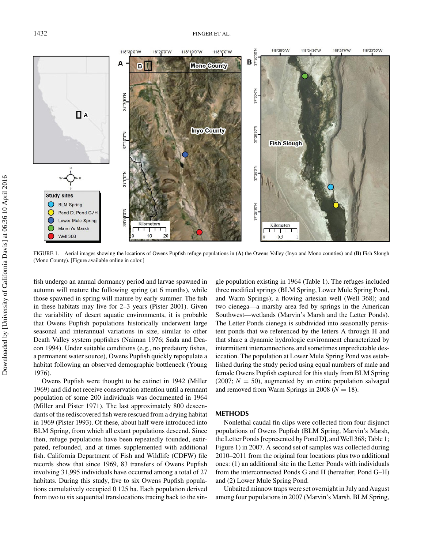

FIGURE 1. Aerial images showing the locations of Owens Pupfish refuge populations in **(A)** the Owens Valley (Inyo and Mono counties) and **(B)** Fish Slough (Mono County). [Figure available online in color.]

fish undergo an annual dormancy period and larvae spawned in autumn will mature the following spring (at 6 months), while those spawned in spring will mature by early summer. The fish in these habitats may live for 2–3 years (Pister 2001). Given the variability of desert aquatic environments, it is probable that Owens Pupfish populations historically underwent large seasonal and interannual variations in size, similar to other Death Valley system pupfishes (Naiman 1976; Sada and Deacon 1994). Under suitable conditions (e.g., no predatory fishes, a permanent water source), Owens Pupfish quickly repopulate a habitat following an observed demographic bottleneck (Young 1976).

Owens Pupfish were thought to be extinct in 1942 (Miller 1969) and did not receive conservation attention until a remnant population of some 200 individuals was documented in 1964 (Miller and Pister 1971). The last approximately 800 descendants of the rediscovered fish were rescued from a drying habitat in 1969 (Pister 1993). Of these, about half were introduced into BLM Spring, from which all extant populations descend. Since then, refuge populations have been repeatedly founded, extirpated, refounded, and at times supplemented with additional fish. California Department of Fish and Wildlife (CDFW) file records show that since 1969, 83 transfers of Owens Pupfish involving 31,995 individuals have occurred among a total of 27 habitats. During this study, five to six Owens Pupfish populations cumulatively occupied 0.125 ha. Each population derived from two to six sequential translocations tracing back to the single population existing in 1964 (Table 1). The refuges included three modified springs (BLM Spring, Lower Mule Spring Pond, and Warm Springs); a flowing artesian well (Well 368); and two cienega—a marshy area fed by springs in the American Southwest—wetlands (Marvin's Marsh and the Letter Ponds). The Letter Ponds cienega is subdivided into seasonally persistent ponds that we referenced by the letters A through H and that share a dynamic hydrologic environment characterized by intermittent interconnections and sometimes unpredictable desiccation. The population at Lower Mule Spring Pond was established during the study period using equal numbers of male and female Owens Pupfish captured for this study from BLM Spring (2007;  $N = 50$ ), augmented by an entire population salvaged and removed from Warm Springs in 2008 ( $N = 18$ ).

#### **METHODS**

Nonlethal caudal fin clips were collected from four disjunct populations of Owens Pupfish (BLM Spring, Marvin's Marsh, the Letter Ponds [represented by Pond D], and Well 368; Table 1; Figure 1) in 2007. A second set of samples was collected during 2010–2011 from the original four locations plus two additional ones: (1) an additional site in the Letter Ponds with individuals from the interconnected Ponds G and H (hereafter, Pond G–H) and (2) Lower Mule Spring Pond.

Unbaited minnow traps were set overnight in July and August among four populations in 2007 (Marvin's Marsh, BLM Spring,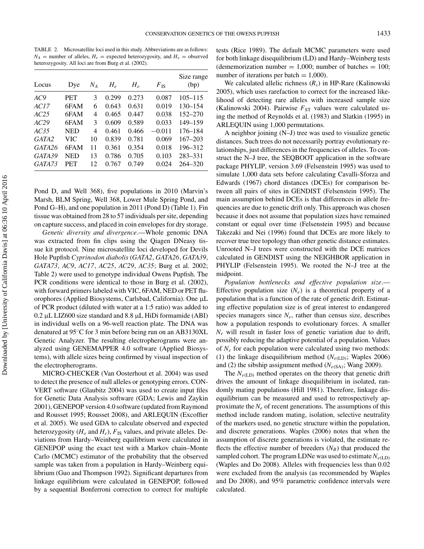TABLE 2. Microsatellite loci used in this study. Abbreviations are as follows:  $N_A$  = number of alleles,  $H_e$  = expected heterozygosity, and  $H_o$  = observed heterozygosity. All loci are from Burg et al. (2002).

| Locus  | Dye        | $N_A$ | $H_{\scriptscriptstyle e}$ | $H_{\alpha}$ | $F_{\rm IS}$ | Size range<br>(bp) |
|--------|------------|-------|----------------------------|--------------|--------------|--------------------|
| AC9    | <b>PET</b> | 3     | 0.299                      | 0.273        | 0.087        | $105 - 115$        |
| AC17   | 6FAM       | 6     | 0.643                      | 0.631        | 0.019        | $130 - 154$        |
| AC25   | 6FAM       | 4     | 0.465                      | 0.447        | 0.038        | 152-270            |
| AC29   | 6FAM       | 3     | 0.609                      | 0.589        | 0.033        | $149 - 159$        |
| AC35   | <b>NED</b> | 4     | 0.461                      | 0.466        | $-0.011$     | 176–184            |
| GATA2  | VIC.       | 10    | 0.839                      | 0.781        | 0.069        | $167 - 203$        |
| GATA26 | 6FAM       | 11    | 0.361                      | 0.354        | 0.018        | 196–312            |
| GATA39 | <b>NED</b> | 13    | 0.786                      | 0.705        | 0.103        | 283-331            |
| GATA73 | <b>PET</b> | 12    | 0.767                      | 0.749        | 0.024        | $264 - 320$        |

Pond D, and Well 368), five populations in 2010 (Marvin's Marsh, BLM Spring, Well 368, Lower Mule Spring Pond, and Pond G–H), and one population in 2011 (Pond D) (Table 1). Fin tissue was obtained from 28 to 57 individuals per site, depending on capture success, and placed in coin envelopes for dry storage.

*Genetic diversity and divergence*.—Whole genomic DNA was extracted from fin clips using the Qiagen DNeasy tissue kit protocol. Nine microsatellite loci developed for Devils Hole Pupfish *Cyprinodon diabolis* (*GATA2*, *GATA26*, *GATA39*, *GATA73*, *AC9*, *AC17*, *AC25*, *AC29*, *AC35*; Burg et al. 2002; Table 2) were used to genotype individual Owens Pupfish. The PCR conditions were identical to those in Burg et al. (2002), with forward primers labeled with VIC, 6FAM, NED or PET fluorophores (Applied Biosystems, Carlsbad, California). One µL of PCR product (diluted with water at a 1:5 ratio) was added to 0.2 µL LIZ600 size standard and 8.8 µL HiDi formamide (ABI) in individual wells on a 96-well reaction plate. The DNA was denatured at 95◦C for 3 min before being run on an AB3130XL Genetic Analyzer. The resulting electropherograms were analyzed using GENEMAPPER 4.0 software (Applied Biosystems), with allele sizes being confirmed by visual inspection of the electropherograms.

MICRO-CHECKER (Van Oosterhout et al. 2004) was used to detect the presence of null alleles or genotyping errors. CON-VERT software (Glaubitz 2004) was used to create input files for Genetic Data Analysis software (GDA; Lewis and Zaykin 2001), GENEPOP version 4.0 software (updated from Raymond and Rousset 1995; Rousset 2008), and ARLEQUIN (Excoffier et al. 2005). We used GDA to calculate observed and expected heterozygosity  $(H_0$  and  $H_e$ ),  $F_{1S}$  values, and private alleles. Deviations from Hardy–Weinberg equilibrium were calculated in GENEPOP using the exact test with a Markov chain–Monte Carlo (MCMC) estimator of the probability that the observed sample was taken from a population in Hardy–Weinberg equilibrium (Guo and Thompson 1992). Significant departures from linkage equilibrium were calculated in GENEPOP, followed by a sequential Bonferroni correction to correct for multiple tests (Rice 1989). The default MCMC parameters were used for both linkage disequilibrium (LD) and Hardy–Weinberg tests (dememorization number  $= 1,000$ ; number of batches  $= 100$ ; number of iterations per batch  $= 1,000$ .

We calculated allelic richness (*Rs*) in HP-Rare (Kalinowski 2005), which uses rarefaction to correct for the increased likelihood of detecting rare alleles with increased sample size (Kalinowski 2004). Pairwise  $F_{ST}$  values were calculated using the method of Reynolds et al. (1983) and Slatkin (1995) in ARLEQUIN using 1,000 permutations.

A neighbor joining (N–J) tree was used to visualize genetic distances. Such trees do not necessarily portray evolutionary relationships, just differences in the frequencies of alleles. To construct the N–J tree, the SEQBOOT application in the software package PHYLIP*,* version 3.69 (Felsenstein 1995) was used to simulate 1,000 data sets before calculating Cavalli-Sforza and Edwards (1967) chord distances (DCEs) for comparison between all pairs of sites in GENDIST (Felsenstein 1995). The main assumption behind DCEs is that differences in allele frequencies are due to genetic drift only. This approach was chosen because it does not assume that population sizes have remained constant or equal over time (Felsenstein 1995) and because Takezaki and Nei (1996) found that DCEs are more likely to recover true tree topology than other genetic distance estimates. Unrooted N–J trees were constructed with the DCE matrices calculated in GENDIST using the NEIGHBOR application in PHYLIP (Felsenstein 1995). We rooted the N–J tree at the midpoint.

*Population bottlenecks and effective population size*.— Effective population size  $(N_e)$  is a theoretical property of a population that is a function of the rate of genetic drift. Estimating effective population size is of great interest to endangered species managers since  $N_e$ , rather than census size, describes how a population responds to evolutionary forces. A smaller *Ne* will result in faster loss of genetic variation due to drift, possibly reducing the adaptive potential of a population. Values of *Ne* for each population were calculated using two methods: (1) the linkage disequilibrium method  $(N_{e(\text{LD})})$ ; Waples 2006) and (2) the sibship assignment method ( $N_{e(SA)}$ ; Wang 2009).

The  $N_{e(\text{LD})}$  method operates on the theory that genetic drift drives the amount of linkage disequilibrium in isolated, randomly mating populations (Hill 1981). Therefore, linkage disequilibrium can be measured and used to retrospectively approximate the  $N_e$  of recent generations. The assumptions of this method include random mating, isolation, selective neutrality of the markers used, no genetic structure within the population, and discrete generations. Waples (2006) notes that when the assumption of discrete generations is violated, the estimate reflects the effective number of breeders  $(N_B)$  that produced the sampled cohort. The program LDNe was used to estimate  $N_{e(\text{LD})}$ (Waples and Do 2008). Alleles with frequencies less than 0.02 were excluded from the analysis (as recommended by Waples and Do 2008), and 95% parametric confidence intervals were calculated.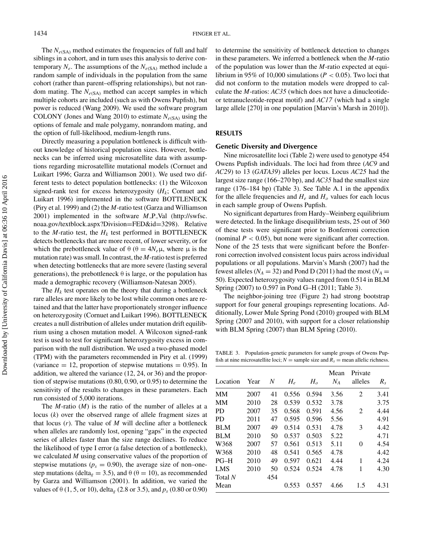The  $N_{e(S_A)}$  method estimates the frequencies of full and half siblings in a cohort, and in turn uses this analysis to derive contemporary  $N_e$ . The assumptions of the  $N_{e(SA)}$  method include a random sample of individuals in the population from the same cohort (rather than parent–offspring relationships), but not random mating. The  $N_{e(SA)}$  method can accept samples in which multiple cohorts are included (such as with Owens Pupfish), but power is reduced (Wang 2009). We used the software program COLONY (Jones and Wang 2010) to estimate  $N_{e(SA)}$  using the options of female and male polygamy, nonrandom mating, and the option of full-likelihood, medium-length runs.

Directly measuring a population bottleneck is difficult without knowledge of historical population sizes. However, bottlenecks can be inferred using microsatellite data with assumptions regarding microsatellite mutational models (Cornuet and Luikart 1996; Garza and Williamson 2001). We used two different tests to detect population bottlenecks: (1) the Wilcoxon signed-rank test for excess heterozygosity  $(H_k;$  Cornuet and Luikart 1996) implemented in the software BOTTLENECK (Piry et al. 1999) and (2) the *M*-ratio test (Garza and Williamson 2001) implemented in the software *M\_P\_Val* (http://swfsc. noaa.gov/textblock.aspx?Division=FED&id=3298). Relative to the  $M$ -ratio test, the  $H_k$  test performed in BOTTLENECK detects bottlenecks that are more recent, of lower severity, or for which the prebottleneck value of  $\theta$  ( $\theta = 4N_e\mu$ , where  $\mu$  is the mutation rate) was small. In contrast, the *M*-ratio test is preferred when detecting bottlenecks that are more severe (lasting several generations), the prebottleneck  $\theta$  is large, or the population has made a demographic recovery (Williamson-Natesan 2005).

The  $H_k$  test operates on the theory that during a bottleneck rare alleles are more likely to be lost while common ones are retained and that the latter have proportionately stronger influence on heterozygosity (Cornuet and Luikart 1996). BOTTLENECK creates a null distribution of alleles under mutation drift equilibrium using a chosen mutation model. A Wilcoxon signed-rank test is used to test for significant heterozygosity excess in comparison with the null distribution. We used a two-phased model (TPM) with the parameters recommended in Piry et al. (1999) (variance  $= 12$ , proportion of stepwise mutations  $= 0.95$ ). In addition, we altered the variance (12, 24, or 36) and the proportion of stepwise mutations (0.80, 0.90, or 0.95) to determine the sensitivity of the results to changes in these parameters. Each run consisted of 5,000 iterations.

The *M*-ratio (*M*) is the ratio of the number of alleles at a locus (*k*) over the observed range of allele fragment sizes at that locus  $(r)$ . The value of  $M$  will decline after a bottleneck when alleles are randomly lost, opening "gaps" in the expected series of alleles faster than the size range declines. To reduce the likelihood of type I error (a false detection of a bottleneck), we calculated *M* using conservative values of the proportion of stepwise mutations ( $p_s = 0.90$ ), the average size of non-onestep mutations (delta<sub>g</sub> = 3.5), and  $\theta$  ( $\theta$  = 10), as recommended by Garza and Williamson (2001). In addition, we varied the values of  $θ$  (1, 5, or 10), delta<sub>g</sub> (2.8 or 3.5), and  $p_s$  (0.80 or 0.90)

to determine the sensitivity of bottleneck detection to changes in these parameters. We inferred a bottleneck when the *M*-ratio of the population was lower than the *M*-ratio expected at equilibrium in 95% of 10,000 simulations ( $P < 0.05$ ). Two loci that did not conform to the mutation models were dropped to calculate the *M*-ratios: *AC35* (which does not have a dinucleotideor tetranucleotide-repeat motif) and *AC17* (which had a single large allele [270] in one population [Marvin's Marsh in 2010]).

#### **RESULTS**

#### **Genetic Diversity and Divergence**

Nine microsatellite loci (Table 2) were used to genotype 454 Owens Pupfish individuals. The loci had from three (*AC9* and *AC29*) to 13 (*GATA39*) alleles per locus. Locus *AC25* had the largest size range (166–270 bp), and *AC35* had the smallest size range (176–184 bp) (Table 3). See Table A.1 in the appendix for the allele frequencies and  $H_e$  and  $H_o$  values for each locus in each sample group of Owens Pupfish.

No significant departures from Hardy–Weinberg equilibrium were detected. In the linkage disequilibrium tests, 25 out of 360 of these tests were significant prior to Bonferroni correction (nominal  $P < 0.05$ ), but none were significant after correction. None of the 25 tests that were significant before the Bonferroni correction involved consistent locus pairs across individual populations or all populations. Marvin's Marsh (2007) had the fewest alleles ( $N_A$  = 32) and Pond D (2011) had the most ( $N_A$  = 50). Expected heterozygosity values ranged from 0.514 in BLM Spring (2007) to 0.597 in Pond G–H (2011; Table 3).

The neighbor-joining tree (Figure 2) had strong bootstrap support for four general groupings representing locations. Additionally, Lower Mule Spring Pond (2010) grouped with BLM Spring (2007 and 2010), with support for a closer relationship with BLM Spring (2007) than BLM Spring (2010).

TABLE 3. Population-genetic parameters for sample groups of Owens Pupfish at nine microsatellite loci;  $N =$  sample size and  $R_s =$  mean allelic richness.

| Location         | Year | N   | $H_e$ | H <sub>o</sub> | Mean<br>$N_A$ | Private<br>alleles | $R_{s}$ |
|------------------|------|-----|-------|----------------|---------------|--------------------|---------|
| MМ               | 2007 | 41  | 0.556 | 0.594          | 3.56          | $\overline{2}$     | 3.41    |
| MМ               | 2010 | 28  | 0.539 | 0.532          | 3.78          |                    | 3.75    |
| <b>PD</b>        | 2007 | 35  | 0.568 | 0.591          | 4.56          | 2                  | 4.44    |
| <b>PD</b>        | 2011 | 47  | 0.595 | 0.596          | 5.56          |                    | 4.91    |
| <b>BLM</b>       | 2007 | 49  | 0.514 | 0.531          | 4.78          | 3                  | 4.42    |
| <b>BLM</b>       | 2010 | 50  | 0.537 | 0.503          | 5.22          |                    | 4.71    |
| W <sub>368</sub> | 2007 | 57  | 0.561 | 0.513          | 5.11          | $\theta$           | 4.54    |
| W <sub>368</sub> | 2010 | 48  | 0.541 | 0.565          | 4.78          |                    | 4.42    |
| $P$ G-H          | 2010 | 49  | 0.597 | 0.621          | 4.44          | 1                  | 4.24    |
| LMS              | 2010 | 50  | 0.524 | 0.524          | 4.78          | 1                  | 4.30    |
| Total $N$        |      | 454 |       |                |               |                    |         |
| Mean             |      |     | 0.553 | 0.557          | 4.66          | 1.5                | 4.31    |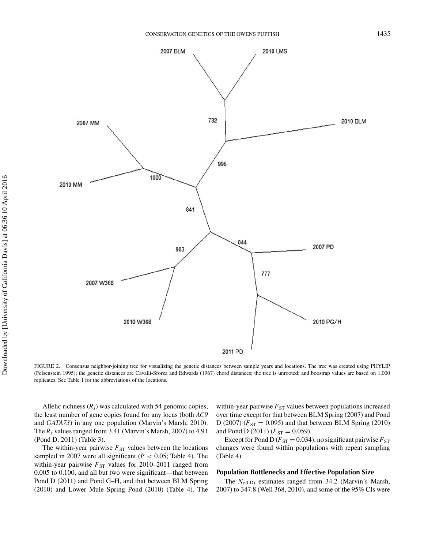

FIGURE 2. Consensus neighbor-joining tree for visualizing the genetic distances between sample years and locations. The tree was created using PHYLIP (Felsenstein 1995); the genetic distances are Cavalli-Sforza and Edwards (1967) chord distances; the tree is unrooted; and boostrap values are based on 1,000 replicates. See Table 1 for the abbreviations of the locations.

Allelic richness  $(R<sub>s</sub>)$  was calculated with 54 genomic copies, the least number of gene copies found for any locus (both *AC9* and *GATA73*) in any one population (Marvin's Marsh, 2010). The *Rs* values ranged from 3.41 (Marvin's Marsh, 2007) to 4.91 (Pond D, 2011) (Table 3).

The within-year pairwise  $F_{ST}$  values between the locations sampled in 2007 were all significant ( $P < 0.05$ ; Table 4). The within-year pairwise  $F_{ST}$  values for 2010–2011 ranged from 0.005 to 0.100, and all but two were significant—that between Pond D (2011) and Pond G–H, and that between BLM Spring (2010) and Lower Mule Spring Pond (2010) (Table 4). The within-year pairwise  $F_{ST}$  values between populations increased over time except for that between BLM Spring (2007) and Pond D (2007) ( $F_{ST} = 0.095$ ) and that between BLM Spring (2010) and Pond D (2011)  $(F_{ST} = 0.059)$ .

Except for Pond D ( $F_{ST}$  = 0.034), no significant pairwise  $F_{ST}$ changes were found within populations with repeat sampling (Table 4).

#### **Population Bottlenecks and Effective Population Size**

The *N<sub>e*(LD)</sub> estimates ranged from 34.2 (Marvin's Marsh, 2007) to 347.8 (Well 368, 2010), and some of the 95% CIs were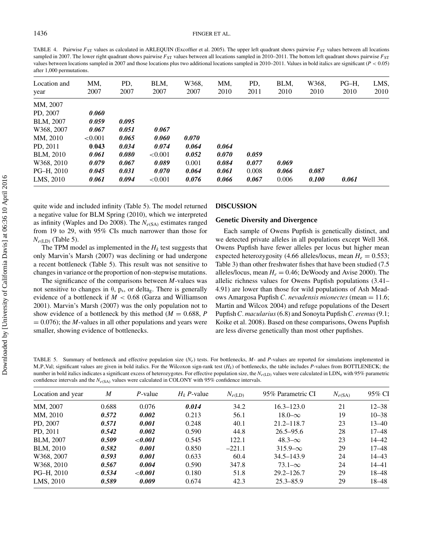TABLE 4. Pairwise  $F_{ST}$  values as calculated in ARLEQUIN (Excoffier et al. 2005). The upper left quadrant shows pairwise  $F_{ST}$  values between all locations sampled in 2007. The lower right quadrant shows pairwise  $F_{ST}$  values between all locations sampled in 2010–2011. The bottom left quadrant shows pairwise  $F_{ST}$ values between locations sampled in 2007 and those locations plus two additional locations sampled in 2010–2011. Values in bold italics are significant (*P* < 0.05) after 1,000 permutations.

| Location and            | MM,        | PD,   | BLM,       | W368. | MM.   | PD,   | BLM,  | W368. | $PG-H$ , | LMS, |
|-------------------------|------------|-------|------------|-------|-------|-------|-------|-------|----------|------|
| year                    | 2007       | 2007  | 2007       | 2007  | 2010  | 2011  | 2010  | 2010  | 2010     | 2010 |
| MM, 2007                |            |       |            |       |       |       |       |       |          |      |
| PD, 2007                | 0.060      |       |            |       |       |       |       |       |          |      |
| BLM, 2007               | 0.059      | 0.095 |            |       |       |       |       |       |          |      |
| W <sub>368</sub> , 2007 | 0.067      | 0.051 | 0.067      |       |       |       |       |       |          |      |
| MM, 2010                | ${<}0.001$ | 0.065 | 0.060      | 0.070 |       |       |       |       |          |      |
| PD, 2011                | 0.043      | 0.034 | 0.074      | 0.064 | 0.064 |       |       |       |          |      |
| <b>BLM, 2010</b>        | 0.061      | 0.080 | < 0.001    | 0.052 | 0.070 | 0.059 |       |       |          |      |
| W368, 2010              | 0.079      | 0.067 | 0.089      | 0.001 | 0.084 | 0.077 | 0.069 |       |          |      |
| PG-H, 2010              | 0.045      | 0.031 | 0.070      | 0.064 | 0.061 | 0.008 | 0.066 | 0.087 |          |      |
| LMS, 2010               | 0.061      | 0.094 | ${<}0.001$ | 0.076 | 0.066 | 0.067 | 0.006 | 0.100 | 0.061    |      |

quite wide and included infinity (Table 5). The model returned a negative value for BLM Spring (2010), which we interpreted as infinity (Waples and Do 2008). The  $N_{e(SA)}$  estimates ranged from 19 to 29, with 95% CIs much narrower than those for *Ne*(LD) (Table 5).

The TPM model as implemented in the  $H_k$  test suggests that only Marvin's Marsh (2007) was declining or had undergone a recent bottleneck (Table 5). This result was not sensitive to changes in variance or the proportion of non-stepwise mutations.

The significance of the comparisons between *M*-values was not sensitive to changes in  $θ$ ,  $p_s$ , or delta<sub>g</sub>. There is generally evidence of a bottleneck if *M* < 0.68 (Garza and Williamson 2001). Marvin's Marsh (2007) was the only population not to show evidence of a bottleneck by this method ( $M = 0.688$ ,  $P$  $= 0.076$ ; the *M*-values in all other populations and years were smaller, showing evidence of bottlenecks.

#### **DISCUSSION**

#### **Genetic Diversity and Divergence**

Each sample of Owens Pupfish is genetically distinct, and we detected private alleles in all populations except Well 368. Owens Pupfish have fewer alleles per locus but higher mean expected heterozygosity (4.66 alleles/locus, mean  $H_e = 0.553$ ; Table 3) than other freshwater fishes that have been studied (7.5 alleles/locus, mean  $H_e = 0.46$ ; DeWoody and Avise 2000). The allelic richness values for Owens Pupfish populations (3.41– 4.91) are lower than those for wild populations of Ash Meadows Amargosa Pupfish *C. nevadensis mionectes* (mean = 11.6; Martin and Wilcox 2004) and refuge populations of the Desert Pupfish *C. macularius*(6.8) and Sonoyta Pupfish *C. eremus*(9.1; Koike et al. 2008). Based on these comparisons, Owens Pupfish are less diverse genetically than most other pupfishes.

TABLE 5. Summary of bottleneck and effective population size (*Ne*) tests. For bottlenecks, *M*- and *P*-values are reported for simulations implemented in M.P.Val; significant values are given in bold italics. For the Wilcoxon sign-rank test  $(H_k)$  of bottlenecks, the table includes *P*-values from BOTTLENECK; the number in bold italics indicates a significant excess of heterozygotes. For effective population size, the  $N_e$ <sub>CLD</sub>) values were calculated in LDN<sub>e</sub> with 95% parametric confidence intervals and the *N<sub>e*(SA)</sub> values were calculated in COLONY with 95% confidence intervals.

| Location and year | M     | P-value         | $H_k$ P-value | $N_{e(\text{LD})}$ | 95% Parametric CI | $N_{e(SA)}$ | 95% CI    |  |
|-------------------|-------|-----------------|---------------|--------------------|-------------------|-------------|-----------|--|
| MM, 2007          | 0.688 | 0.076           | 0.014         | 34.2               | $16.3 - 123.0$    | 21          | $12 - 38$ |  |
| MM, 2010          | 0.572 | 0.002           | 0.213         | 56.1               | $18.0-\infty$     | 19          | $10 - 38$ |  |
| PD, 2007          | 0.571 | 0.001           | 0.248         | 40.1               | $21.2 - 118.7$    | 23          | $13 - 40$ |  |
| PD, 2011          | 0.542 | 0.002           | 0.590         | 44.8               | $26.5 - 95.6$     | 28          | $17 - 48$ |  |
| <b>BLM, 2007</b>  | 0.509 | $\langle 0.001$ | 0.545         | 122.1              | 48.3 $-\infty$    | 23          | $14 - 42$ |  |
| <b>BLM, 2010</b>  | 0.582 | 0.001           | 0.850         | $-221.1$           | $315.9-\infty$    | 29          | $17 - 48$ |  |
| W368, 2007        | 0.593 | 0.001           | 0.633         | 60.4               | $34.5 - 143.9$    | 24          | $14 - 43$ |  |
| W368, 2010        | 0.567 | 0.004           | 0.590         | 347.8              | $73.1-\infty$     | 24          | $14 - 41$ |  |
| PG-H, 2010        | 0.534 | $\langle 0.001$ | 0.180         | 51.8               | $29.2 - 126.7$    | 29          | $18 - 48$ |  |
| LMS, 2010         | 0.589 | 0.009           | 0.674         | 42.3               | $25.3 - 85.9$     | 29          | $18 - 48$ |  |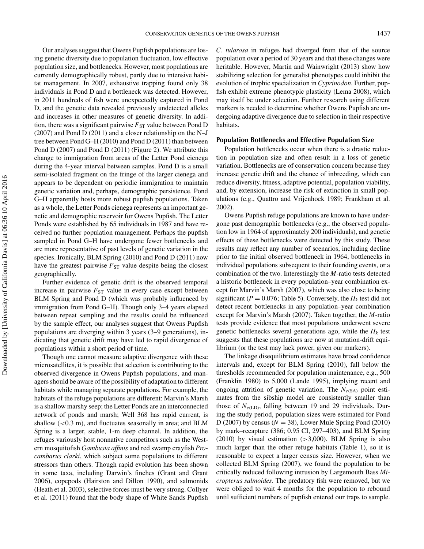Our analyses suggest that Owens Pupfish populations are losing genetic diversity due to population fluctuation, low effective population size, and bottlenecks. However, most populations are currently demographically robust, partly due to intensive habitat management. In 2007, exhaustive trapping found only 38 individuals in Pond D and a bottleneck was detected. However, in 2011 hundreds of fish were unexpectedly captured in Pond D, and the genetic data revealed previously undetected alleles and increases in other measures of genetic diversity. In addition, there was a significant pairwise  $F_{ST}$  value between Pond D (2007) and Pond D (2011) and a closer relationship on the N–J tree between Pond G–H (2010) and Pond D (2011) than between Pond D (2007) and Pond D (2011) (Figure 2). We attribute this change to immigration from areas of the Letter Pond cienega during the 4-year interval between samples. Pond D is a small semi-isolated fragment on the fringe of the larger cienega and appears to be dependent on periodic immigration to maintain genetic variation and, perhaps, demographic persistence. Pond G–H apparently hosts more robust pupfish populations. Taken as a whole, the Letter Ponds cienega represents an important genetic and demographic reservoir for Owens Pupfish. The Letter Ponds were established by 65 individuals in 1987 and have received no further population management. Perhaps the pupfish sampled in Pond G–H have undergone fewer bottlenecks and are more representative of past levels of genetic variation in the species. Ironically, BLM Spring (2010) and Pond D (2011) now have the greatest pairwise  $F_{ST}$  value despite being the closest geographically.

Further evidence of genetic drift is the observed temporal increase in pairwise  $F_{ST}$  value in every case except between BLM Spring and Pond D (which was probably influenced by immigration from Pond G–H). Though only 3–4 years elapsed between repeat sampling and the results could be influenced by the sample effect, our analyses suggest that Owens Pupfish populations are diverging within 3 years (3–9 generations), indicating that genetic drift may have led to rapid divergence of populations within a short period of time.

Though one cannot measure adaptive divergence with these microsatellites, it is possible that selection is contributing to the observed divergence in Owens Pupfish populations, and managers should be aware of the possibility of adaptation to different habitats while managing separate populations. For example, the habitats of the refuge populations are different: Marvin's Marsh is a shallow marshy seep; the Letter Ponds are an interconnected network of ponds and marsh; Well 368 has rapid current, is shallow  $(<0.3$  m), and fluctuates seasonally in area; and BLM Spring is a larger, stable, 1-m deep channel. In addition, the refuges variously host nonnative competitors such as the Western mosquitofish *Gambusia affinis* and red swamp crayfish *Procambarus clarki*, which subject some populations to different stressors than others. Though rapid evolution has been shown in some taxa, including Darwin's finches (Grant and Grant 2006), copepods (Hairston and Dillon 1990), and salmonids (Heath et al. 2003), selective forces must be very strong. Collyer et al. (2011) found that the body shape of White Sands Pupfish

*C. tularosa* in refuges had diverged from that of the source population over a period of 30 years and that these changes were heritable. However, Martin and Wainwright (2013) show how stabilizing selection for generalist phenotypes could inhibit the evolution of trophic specialization in *Cyprinodon*. Further, pupfish exhibit extreme phenotypic plasticity (Lema 2008), which may itself be under selection. Further research using different markers is needed to determine whether Owens Pupfish are undergoing adaptive divergence due to selection in their respective habitats.

#### **Population Bottlenecks and Effective Population Size**

Population bottlenecks occur when there is a drastic reduction in population size and often result in a loss of genetic variation. Bottlenecks are of conservation concern because they increase genetic drift and the chance of inbreeding, which can reduce diversity, fitness, adaptive potential, population viability, and, by extension, increase the risk of extinction in small populations (e.g., Quattro and Vrijenhoek 1989; Frankham et al. 2002).

Owens Pupfish refuge populations are known to have undergone past demographic bottlenecks (e.g., the observed population low in 1964 of approximately 200 individuals), and genetic effects of these bottlenecks were detected by this study. These results may reflect any number of scenarios, including decline prior to the initial observed bottleneck in 1964, bottlenecks in individual populations subsequent to their founding events, or a combination of the two. Interestingly the *M*-ratio tests detected a historic bottleneck in every population–year combination except for Marvin's Marsh (2007), which was also close to being significant ( $P = 0.076$ ; Table 5). Conversely, the  $H_k$  test did not detect recent bottlenecks in any population–year combination except for Marvin's Marsh (2007). Taken together, the *M*-ratio tests provide evidence that most populations underwent severe genetic bottlenecks several generations ago, while the  $H_k$  test suggests that these populations are now at mutation-drift equilibrium (or the test may lack power, given our markers).

The linkage disequilibrium estimates have broad confidence intervals and, except for BLM Spring (2010), fall below the thresholds recommended for population maintenance, e.g., 500 (Franklin 1980) to 5,000 (Lande 1995), implying recent and ongoing attrition of genetic variation. The  $N_{e(SA)}$  point estimates from the sibship model are consistently smaller than those of  $N_{e(\text{LD})}$ , falling between 19 and 29 individuals. During the study period, population sizes were estimated for Pond D (2007) by census (*N* = 38), Lower Mule Spring Pond (2010) by mark–recapture (386; 0.95 CI, 297–403), and BLM Spring (2010) by visual estimation  $(>3,000)$ . BLM Spring is also much larger than the other refuge habitats (Table 1), so it is reasonable to expect a larger census size. However, when we collected BLM Spring (2007), we found the population to be critically reduced following intrusion by Largemouth Bass *Micropterus salmoides*. The predatory fish were removed, but we were obliged to wait 4 months for the population to rebound until sufficient numbers of pupfish entered our traps to sample.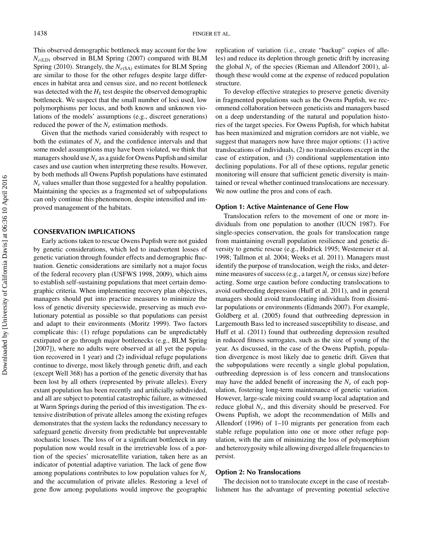This observed demographic bottleneck may account for the low *Ne*(LD) observed in BLM Spring (2007) compared with BLM Spring (2010). Strangely, the *N<sub>e*(SA)</sub> estimates for BLM Spring</sub> are similar to those for the other refuges despite large differences in habitat area and census size, and no recent bottleneck was detected with the  $H_k$  test despite the observed demographic bottleneck. We suspect that the small number of loci used, low polymorphisms per locus, and both known and unknown violations of the models' assumptions (e.g., discreet generations) reduced the power of the  $N_e$  estimation methods.

Given that the methods varied considerably with respect to both the estimates of  $N_e$  and the confidence intervals and that some model assumptions may have been violated, we think that managers should use  $N_e$  as a guide for Owens Pupfish and similar cases and use caution when interpreting these results. However, by both methods all Owens Pupfish populations have estimated *Ne* values smaller than those suggested for a healthy population. Maintaining the species as a fragmented set of subpopulations can only continue this phenomenon, despite intensified and improved management of the habitats.

#### **CONSERVATION IMPLICATIONS**

Early actions taken to rescue Owens Pupfish were not guided by genetic considerations, which led to inadvertent losses of genetic variation through founder effects and demographic fluctuation. Genetic considerations are similarly not a major focus of the federal recovery plan (USFWS 1998, 2009), which aims to establish self-sustaining populations that meet certain demographic criteria. When implementing recovery plan objectives, managers should put into practice measures to minimize the loss of genetic diversity specieswide, preserving as much evolutionary potential as possible so that populations can persist and adapt to their environments (Moritz 1999). Two factors complicate this: (1) refuge populations can be unpredictably extirpated or go through major bottlenecks (e.g., BLM Spring [2007]), where no adults were observed at all yet the population recovered in 1 year) and (2) individual refuge populations continue to diverge, most likely through genetic drift, and each (except Well 368) has a portion of the genetic diversity that has been lost by all others (represented by private alleles). Every extant population has been recently and artificially subdivided, and all are subject to potential catastrophic failure, as witnessed at Warm Springs during the period of this investigation. The extensive distribution of private alleles among the existing refuges demonstrates that the system lacks the redundancy necessary to safeguard genetic diversity from predictable but unpreventable stochastic losses. The loss of or a significant bottleneck in any population now would result in the irretrievable loss of a portion of the species' microsatellite variation, taken here as an indicator of potential adaptive variation. The lack of gene flow among populations contributes to low population values for *Ne* and the accumulation of private alleles. Restoring a level of gene flow among populations would improve the geographic

replication of variation (i.e., create "backup" copies of alleles) and reduce its depletion through genetic drift by increasing the global  $N_e$  of the species (Rieman and Allendorf 2001), although these would come at the expense of reduced population structure.

To develop effective strategies to preserve genetic diversity in fragmented populations such as the Owens Pupfish, we recommend collaboration between geneticists and managers based on a deep understanding of the natural and population histories of the target species. For Owens Pupfish, for which habitat has been maximized and migration corridors are not viable, we suggest that managers now have three major options: (1) active translocations of individuals, (2) no translocations except in the case of extirpation, and (3) conditional supplementation into declining populations. For all of these options, regular genetic monitoring will ensure that sufficient genetic diversity is maintained or reveal whether continued translocations are necessary. We now outline the pros and cons of each.

#### **Option 1: Active Maintenance of Gene Flow**

Translocation refers to the movement of one or more individuals from one population to another (IUCN 1987). For single-species conservation, the goals for translocation range from maintaining overall population resilience and genetic diversity to genetic rescue (e.g., Hedrick 1995; Westemeier et al. 1998; Tallmon et al. 2004; Weeks et al. 2011). Managers must identify the purpose of translocation, weigh the risks, and determine measures of success (e.g., a target  $N_e$  or census size) before acting. Some urge caution before conducting translocations to avoid outbreeding depression (Huff et al. 2011), and in general managers should avoid translocating individuals from dissimilar populations or environments (Edmands 2007). For example, Goldberg et al. (2005) found that outbreeding depression in Largemouth Bass led to increased susceptibility to disease, and Huff et al. (2011) found that outbreeding depression resulted in reduced fitness surrogates, such as the size of young of the year. As discussed, in the case of the Owens Pupfish, population divergence is most likely due to genetic drift. Given that the subpopulations were recently a single global population, outbreeding depression is of less concern and translocations may have the added benefit of increasing the  $N_e$  of each population, fostering long-term maintenance of genetic variation. However, large-scale mixing could swamp local adaptation and reduce global *Ne*, and this diversity should be preserved. For Owens Pupfish, we adopt the recommendation of Mills and Allendorf (1996) of 1–10 migrants per generation from each stable refuge population into one or more other refuge population, with the aim of minimizing the loss of polymorphism and heterozygosity while allowing diverged allele frequencies to persist.

#### **Option 2: No Translocations**

The decision not to translocate except in the case of reestablishment has the advantage of preventing potential selective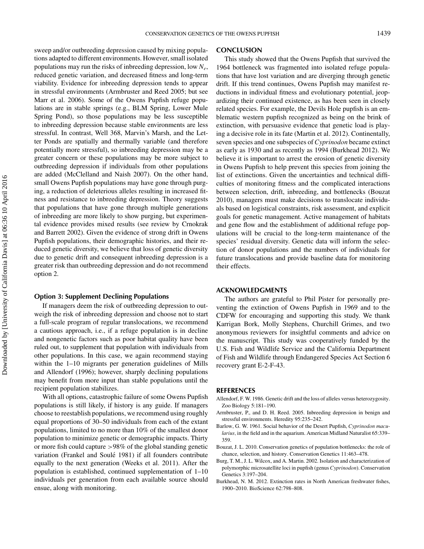sweep and/or outbreeding depression caused by mixing populations adapted to different environments. However, small isolated populations may run the risks of inbreeding depression, low *Ne*, reduced genetic variation, and decreased fitness and long-term viability. Evidence for inbreeding depression tends to appear in stressful environments (Armbruster and Reed 2005; but see Marr et al. 2006). Some of the Owens Pupfish refuge populations are in stable springs (e.g., BLM Spring, Lower Mule Spring Pond), so those populations may be less susceptible to inbreeding depression because stable environments are less stressful. In contrast, Well 368, Marvin's Marsh, and the Letter Ponds are spatially and thermally variable (and therefore potentially more stressful), so inbreeding depression may be a greater concern or these populations may be more subject to outbreeding depression if individuals from other populations are added (McClelland and Naish 2007). On the other hand, small Owens Pupfish populations may have gone through purging, a reduction of deleterious alleles resulting in increased fitness and resistance to inbreeding depression. Theory suggests that populations that have gone through multiple generations of inbreeding are more likely to show purging, but experimental evidence provides mixed results (see review by Crnokrak and Barrett 2002). Given the evidence of strong drift in Owens Pupfish populations, their demographic histories, and their reduced genetic diversity, we believe that loss of genetic diversity due to genetic drift and consequent inbreeding depression is a greater risk than outbreeding depression and do not recommend option 2.

#### **Option 3: Supplement Declining Populations**

If managers deem the risk of outbreeding depression to outweigh the risk of inbreeding depression and choose not to start a full-scale program of regular translocations, we recommend a cautious approach, i.e., if a refuge population is in decline and nongenetic factors such as poor habitat quality have been ruled out, to supplement that population with individuals from other populations. In this case, we again recommend staying within the 1–10 migrants per generation guidelines of Mills and Allendorf (1996); however, sharply declining populations may benefit from more input than stable populations until the recipient population stabilizes.

With all options, catastrophic failure of some Owens Pupfish populations is still likely, if history is any guide. If managers choose to reestablish populations, we recommend using roughly equal proportions of 30–50 individuals from each of the extant populations, limited to no more than 10% of the smallest donor population to minimize genetic or demographic impacts. Thirty or more fish could capture >98% of the global standing genetic variation (Frankel and Soulé 1981) if all founders contribute equally to the next generation (Weeks et al. 2011). After the population is established, continued supplementation of 1–10 individuals per generation from each available source should ensue, along with monitoring.

#### **CONCLUSION**

This study showed that the Owens Pupfish that survived the 1964 bottleneck was fragmented into isolated refuge populations that have lost variation and are diverging through genetic drift. If this trend continues, Owens Pupfish may manifest reductions in individual fitness and evolutionary potential, jeopardizing their continued existence, as has been seen in closely related species. For example, the Devils Hole pupfish is an emblematic western pupfish recognized as being on the brink of extinction, with persuasive evidence that genetic load is playing a decisive role in its fate (Martin et al. 2012). Continentally, seven species and one subspecies of *Cyprinodon* became extinct as early as 1930 and as recently as 1994 (Burkhead 2012). We believe it is important to arrest the erosion of genetic diversity in Owens Pupfish to help prevent this species from joining the list of extinctions. Given the uncertainties and technical difficulties of monitoring fitness and the complicated interactions between selection, drift, inbreeding, and bottlenecks (Bouzat 2010), managers must make decisions to translocate individuals based on logistical constraints, risk assessment, and explicit goals for genetic management. Active management of habitats and gene flow and the establishment of additional refuge populations will be crucial to the long-term maintenance of the species' residual diversity. Genetic data will inform the selection of donor populations and the numbers of individuals for future translocations and provide baseline data for monitoring their effects.

#### **ACKNOWLEDGMENTS**

The authors are grateful to Phil Pister for personally preventing the extinction of Owens Pupfish in 1969 and to the CDFW for encouraging and supporting this study. We thank Karrigan Bork, Molly Stephens, Churchill Grimes, and two anonymous reviewers for insightful comments and advice on the manuscript. This study was cooperatively funded by the U.S. Fish and Wildlife Service and the California Department of Fish and Wildlife through Endangered Species Act Section 6 recovery grant E-2-F-43.

#### **REFERENCES**

- Allendorf, F. W. 1986. Genetic drift and the loss of alleles versus heterozygosity. Zoo Biology 5:181–190.
- Armbruster, P., and D. H. Reed. 2005. Inbreeding depression in benign and stressful environments. Heredity 95:235–242.
- Barlow, G. W. 1961. Social behavior of the Desert Pupfish, *Cyprinodon macularius,* in the field and in the aquarium. American Midland Naturalist 65:339– 359.
- Bouzat, J. L. 2010. Conservation genetics of population bottlenecks: the role of chance, selection, and history. Conservation Genetics 11:463–478.
- Burg, T. M., J. L. Wilcox, and A. Martin. 2002. Isolation and characterization of polymorphic microsatellite loci in pupfish (genus *Cyprinodon*). Conservation Genetics 3:197–204.
- Burkhead, N. M. 2012. Extinction rates in North American freshwater fishes, 1900–2010. BioScience 62:798–808.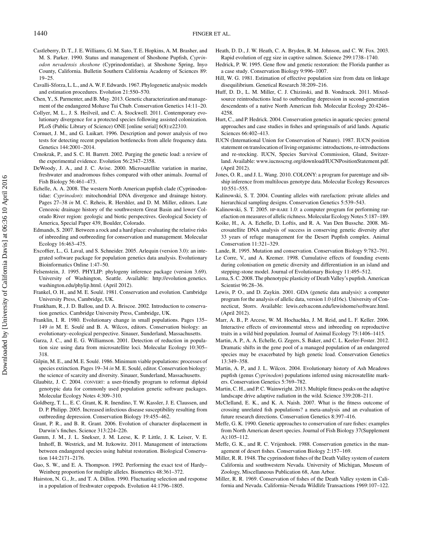- Castleberry, D. T., J. E. Williams, G. M. Sato, T. E. Hopkins, A. M. Brasher, and M. S. Parker. 1990. Status and management of Shoshone Pupfish, *Cyprinodon nevadensis shoshone* (Cyprinodontidae), at Shoshone Spring, Inyo County, California. Bulletin Southern California Academy of Sciences 89: 19–25.
- Cavalli-Sforza, L. L., and A. W. F. Edwards. 1967. Phylogenetic analysis: models and estimation procedures. Evolution 21:550–570.
- Chen, Y., S. Parmenter, and B. May. 2013. Genetic characterization and management of the endangered Mohave Tui Chub. Conservation Genetics 14:11–20.
- Collyer, M. L., J. S. Heilveil, and C. A. Stockwell. 2011. Contemporary evolutionary divergence for a protected species following assisted colonization. PLoS (Public Library of Science) ONE [online serial] 6(8):e22310.
- Cornuet, J. M., and G. Luikart. 1996. Description and power analysis of two tests for detecting recent population bottlenecks from allele frequency data. Genetics 144:2001–2014.
- Crnokrak, P., and S. C. H. Barrett. 2002. Purging the genetic load: a review of the experimental evidence. Evolution 56:2347–2358.
- DeWoody, J. A., and J. C. Avise. 2000. Microsatellite variation in marine, freshwater and anadromous fishes compared with other animals. Journal of Fish Biology 56:461–473.
- Echelle, A. A. 2008. The western North American pupfish clade (Cyprinodontidae: *Cyprinodon*): mitochondrial DNA divergence and drainage history. Pages 27–38 *in* M. C. Reheis, R. Hershler, and D. M. Miller, editors. Late Cenozoic drainage history of the southwestern Great Basin and lower Colorado River region: geologic and biotic perspectives. Geological Society of America, Special Paper 439, Boulder, Colorado.
- Edmands, S. 2007. Between a rock and a hard place: evaluating the relative risks of inbreeding and outbreeding for conservation and management. Molecular Ecology 16:463–475.
- Excoffier, L., G. Laval, and S. Schneider. 2005. Arlequin (version 3.0): an integrated software package for population genetics data analysis. Evolutionary Bioinformatics Online 1:47–50.
- Felsenstein, J. 1995. PHYLIP: phylogeny inference package (version 3.69). University of Washington, Seattle. Available: http://evolution.genetics. washington.edu/phylip.html. (April 2012).
- Frankel, O. H., and M. E. Soulé. 1981. Conservation and evolution. Cambridge University Press, Cambridge, UK.
- Frankham, R., J. D. Ballou, and D. A. Briscoe. 2002. Introduction to conservation genetics. Cambridge University Press, Cambridge, UK.
- Franklin, I. R. 1980. Evolutionary change in small populations. Pages 135– 149 *in* M. E. Soulé and B. A. Wilcox, editors. Conservation biology: an evolutionary–ecological perspective. Sinauer, Sunderland, Massachusetts.
- Garza, J. C., and E. G. Williamson. 2001. Detection of reduction in population size using data from microsatellite loci. Molecular Ecology 10:305– 318.
- Gilpin, M. E., and M. E. Soulé. 1986. Minimum viable populations: processes of species extinction. Pages 19–34 *in* M. E. Soulé, editor. Conservation biology: the science of scarcity and diversity. Sinauer, Sunderland, Massachusetts.
- Glaubitz, J. C. 2004. CONVERT: a user-friendly program to reformat diploid genotypic data for commonly used population genetic software packages. Molecular Ecology Notes 4:309–310.
- Goldberg, T. L., E. C. Grant, K. R. Inendino, T. W. Kassler, J. E. Claussen, and D. P. Philipp. 2005. Increased infectious disease susceptibility resulting from outbreeding depression. Conservation Biology 19:455–462.
- Grant, P. R., and B. R. Grant. 2006. Evolution of character displacement in Darwin's finches. Science 313:224–226.
- Gumm, J. M., J. L. Snekser, J. M. Leese, K. P. Little, J. K. Leiser, V. E. Imhoff, B. Westrick, and M. Itzkowitz. 2011. Management of interactions between endangered species using habitat restoration. Biological Conservation 144:2171–2176.
- Guo, S. W., and E. A. Thompson. 1992. Performing the exact test of Hardy– Weinberg proportion for multiple alleles. Biometrics 48:361–372.
- Hairston, N. G., Jr., and T. A. Dillon. 1990. Fluctuating selection and response in a population of freshwater copepods. Evolution 44:1796–1805.
- Heath, D. D., J. W. Heath, C. A. Bryden, R. M. Johnson, and C. W. Fox. 2003. Rapid evolution of egg size in captive salmon. Science 299:1738–1740.
- Hedrick, P. W. 1995. Gene flow and genetic restoration: the Florida panther as a case study. Conservation Biology 9:996–1007.
- Hill, W. G. 1981. Estimation of effective population size from data on linkage disequilibrium. Genetical Research 38:209–216.
- Huff, D. D., L. M. Miller, C. J. Chizinski, and B. Vondracek. 2011. Mixedsource reintroductions lead to outbreeding depression in second-generation descendents of a native North American fish. Molecular Ecology 20:4246– 4258.
- Hurt, C., and P. Hedrick. 2004. Conservation genetics in aquatic species: general approaches and case studies in fishes and springsnails of arid lands. Aquatic Sciences 66:402–413.
- IUCN (International Union for Conservation of Nature). 1987. IUCN position statement on translocation of living organisms: introductions, re-introductions and re-stocking. IUCN, Species Survival Commission, Gland, Switzerland. Available: www.iucnsscrsg.org/download/IUCNPositionStatement.pdf. (April 2012).
- Jones, O. R., and J. L. Wang. 2010. COLONY: a program for parentage and sibship inference from multilocus genotype data. Molecular Ecology Resources 10:551–555.
- Kalinowski, S. T. 2004. Counting alleles with rarefaction: private alleles and hierarchical sampling designs. Conservation Genetics 5:539–543.
- Kalinowski, S. T. 2005. HP-RARE 1.0: a computer program for performing rarefaction on measures of allelic richness. Molecular Ecology Notes 5:187–189.
- Koike, H., A. A. Echelle, D. Loftis, and R. A. Van Den Bussche. 2008. Microsatellite DNA analysis of success in conserving genetic diversity after 33 years of refuge management for the Desert Pupfish complex. Animal Conservation 11:321–329.
- Lande, R. 1995. Mutation and conservation. Conservation Biology 9:782–791.
- Le Corre, V., and A. Kremer. 1998. Cumulative effects of founding events during colonisation on genetic diversity and differentiation in an island and stepping-stone model. Journal of Evolutionary Biology 11:495–512.
- Lema, S. C. 2008. The phenotypic plasticity of Death Valley's pupfish. American Scientist 96:28–36.
- Lewis, P. O., and D. Zaykin. 2001. GDA (genetic data analysis): a computer program for the analysis of allelic data, version 1.0 (d16c). University of Connecticut, Storrs. Available: lewis.eeb.uconn.edu/lewishome/software.html. (April 2012).
- Marr, A. B., P. Arcese, W. M. Hochachka, J. M. Reid, and L. F. Keller. 2006. Interactive effects of environmental stress and inbreeding on reproductive traits in a wild bird population. Journal of Animal Ecology 75:1406–1415.
- Martin, A. P., A. A. Echelle, G. Zegers, S. Baker, and C. L. Keeler-Foster. 2012. Dramatic shifts in the gene pool of a managed population of an endangered species may be exacerbated by high genetic load. Conservation Genetics 13:349–358.
- Martin, A. P., and J. L. Wilcox. 2004. Evolutionary history of Ash Meadows pupfish (genus *Cyprinodon*) populations inferred using microsatellite markers. Conservation Genetics 5:769–782.
- Martin, C. H., and P. C. Wainwright. 2013. Multiple fitness peaks on the adaptive landscape drive adaptive radiation in the wild. Science 339:208–211.
- McClelland, E. K., and K. A. Naish. 2007. What is the fitness outcome of crossing unrelated fish populations? a meta-analysis and an evaluation of future research directions. Conservation Genetics 8:397–416.
- Meffe, G. K. 1990. Genetic approaches to conservation of rare fishes: examples from North American desert species. Journal of Fish Biology 37(Supplement A):105–112.
- Meffe, G. K., and R. C. Vrijenhoek. 1988. Conservation genetics in the management of desert fishes. Conservation Biology 2:157–169.
- Miller, R. R. 1948. The cyprinodont fishes of the Death Valley system of eastern California and southwestern Nevada. University of Michigan, Museum of Zoology, Miscellaneous Publication 68, Ann Arbor.
- Miller, R. R. 1969. Conservation of fishes of the Death Valley system in California and Nevada. California–Nevada Wildlife Transactions 1969:107–122.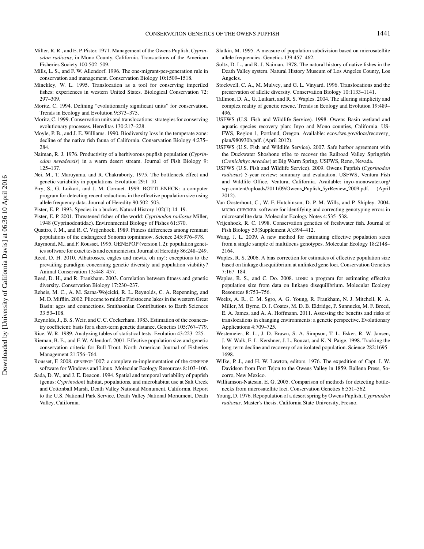- Miller, R. R., and E. P. Pister. 1971. Management of the Owens Pupfish, *Cyprinodon radiosus,* in Mono County, California. Transactions of the American Fisheries Society 100:502–509.
- Mills, L. S., and F. W. Allendorf. 1996. The one-migrant-per-generation rule in conservation and management. Conservation Biology 10:1509–1518.
- Minckley, W. L. 1995. Translocation as a tool for conserving imperiled fishes: experiences in western United States. Biological Conservation 72: 297–309.
- Moritz, C. 1994. Defining "evolutionarily significant units" for conservation. Trends in Ecology and Evolution 9:373–375.
- Moritz, C. 1999. Conservation units and translocations: strategies for conserving evolutionary processes. Hereditas 130:217–228.
- Moyle, P. B., and J. E. Williams. 1990. Biodiversity loss in the temperate zone: decline of the native fish fauna of California. Conservation Biology 4:275– 284.
- Naiman, R. J. 1976. Productivity of a herbivorous pupfish population (*Cyprinodon nevadensis*) in a warm desert stream. Journal of Fish Biology 9: 125–137.
- Nei, M., T. Maruyama, and R. Chakraborty. 1975. The bottleneck effect and genetic variability in populations. Evolution 29:1–10.
- Piry, S., G. Luikart, and J. M. Cornuet. 1999. BOTTLENECK: a computer program for detecting recent reductions in the effective population size using allele frequency data. Journal of Heredity 90:502–503.
- Pister, E. P. 1993. Species in a bucket. Natural History 102(1):14–19.
- Pister, E. P. 2001. Threatened fishes of the world: *Cyprinodon radiosus* Miller, 1948 (Cyprinodontidae). Environmental Biology of Fishes 61:370.
- Quattro, J. M., and R. C. Vrijenhoek. 1989. Fitness differences among remnant populations of the endangered Sonoran topminnow. Science 245:976–978.
- Raymond, M., and F. Rousset. 1995. GENEPOP (version 1.2): population genetics software for exact tests and ecumenicism. Journal of Heredity 86:248–249.
- Reed, D. H. 2010. Albatrosses, eagles and newts, oh my!: exceptions to the prevailing paradigm concerning genetic diversity and population viability? Animal Conservation 13:448–457.
- Reed, D. H., and R. Frankham. 2003. Correlation between fitness and genetic diversity. Conservation Biology 17:230–237.
- Reheis, M. C., A. M. Sarna-Wojcicki, R. L. Reynolds, C. A. Repenning, and M. D. Mifflin. 2002. Pliocene to middle Pleistocene lakes in the western Great Basin: ages and connections. Smithsonian Contributions to Earth Sciences 33:53–108.
- Reynolds, J., B. S. Weir, and C. C. Cockerham. 1983. Estimation of the coancestry coefficient: basis for a short-term genetic distance. Genetics 105:767–779. Rice, W. R. 1989. Analyzing tables of statistical tests. Evolution 43:223–225.
- Rieman, B. E., and F. W. Allendorf. 2001. Effective population size and genetic conservation criteria for Bull Trout. North American Journal of Fisheries Management 21:756–764.
- Rousset, F. 2008. GENEPOP '007: a complete re-implementation of the GENEPOP software for Windows and Linux. Molecular Ecology Resources 8:103–106.
- Sada, D. W., and J. E. Deacon. 1994. Spatial and temporal variability of pupfish (genus: *Cyprinodon*) habitat, populations, and microhabitat use at Salt Creek and Cottonball Marsh, Death Valley National Monument, California. Report to the U.S. National Park Service, Death Valley National Monument, Death Valley, California.
- Slatkin, M. 1995. A measure of population subdivision based on microsatellite allele frequencies. Genetics 139:457–462.
- Soltz, D. L., and R. J. Naiman. 1978. The natural history of native fishes in the Death Valley system. Natural History Museum of Los Angeles County, Los Angeles.
- Stockwell, C. A., M. Mulvey, and G. L. Vinyard. 1996. Translocations and the preservation of allelic diversity. Conservation Biology 10:1133–1141.
- Tallmon, D. A., G. Luikart, and R. S. Waples. 2004. The alluring simplicity and complex reality of genetic rescue. Trends in Ecology and Evolution 19:489– 496.
- USFWS (U.S. Fish and Wildlife Service). 1998. Owens Basin wetland and aquatic species recovery plan: Inyo and Mono counties, California. US-FWS, Region 1, Portland, Oregon. Available: ecos.fws.gov/docs/recovery plan/980930b.pdf. (April 2012).
- USFWS (U.S. Fish and Wildlife Service). 2007. Safe harbor agreement with the Duckwater Shoshone tribe to recover the Railroad Valley Springfish (*Crenichthys nevadae*) at Big Warm Spring. USFWS, Reno, Nevada.
- USFWS (U.S. Fish and Wildlife Service). 2009. Owens Pupfish (*Cyprinodon radiosus*) 5-year review: summary and evaluation. USFWS, Ventura Fish and Wildlife Office, Ventura, California. Available: inyo-monowater.org/ wp-content/uploads/2011/09/Owens Pupfish 5yrReview 2009.pdf. (April 2012).
- Van Oosterhout, C., W. F. Hutchinson, D. P. M. Wills, and P. Shipley. 2004. MICRO-CHECKER: software for identifying and correcting genotyping errors in microsatellite data. Molecular Ecology Notes 4:535–538.
- Vrijenhoek, R. C. 1998. Conservation genetics of freshwater fish. Journal of Fish Biology 53(Supplement A):394–412.
- Wang, J. L. 2009. A new method for estimating effective population sizes from a single sample of multilocus genotypes. Molecular Ecology 18:2148– 2164.
- Waples, R. S. 2006. A bias correction for estimates of effective population size based on linkage disequilibrium at unlinked gene loci. Conservation Genetics 7:167–184.
- Waples, R. S., and C. Do. 2008. LDNE: a program for estimating effective population size from data on linkage disequilibrium. Molecular Ecology Resources 8:753–756.
- Weeks, A. R., C. M. Sgro, A. G. Young, R. Frankham, N. J. Mitchell, K. A. Miller, M. Byrne, D. J. Coates, M. D. B. Eldridge, P. Sunnucks, M. F. Breed, E. A. James, and A. A. Hoffmann. 2011. Assessing the benefits and risks of translocations in changing environments: a genetic perspective. Evolutionary Applications 4:709–725.
- Westemeier, R. L., J. D. Brawn, S. A. Simpson, T. L. Esker, R. W. Jansen, J. W. Walk, E. L. Kershner, J. L. Bouzat, and K. N. Paige. 1998. Tracking the long-term decline and recovery of an isolated population. Science 282:1695– 1698.
- Wilke, P. J., and H. W. Lawton, editors. 1976. The expedition of Capt. J. W. Davidson from Fort Tejon to the Owens Valley in 1859. Ballena Press, Socorro, New Mexico.
- Williamson-Natesan, E. G. 2005. Comparison of methods for detecting bottlenecks from microsatellite loci. Conservation Genetics 6:551–562.
- Young, D. 1976. Repopulation of a desert spring by Owens Pupfish, *Cyprinodon radiosus*. Master's thesis. California State University, Fresno.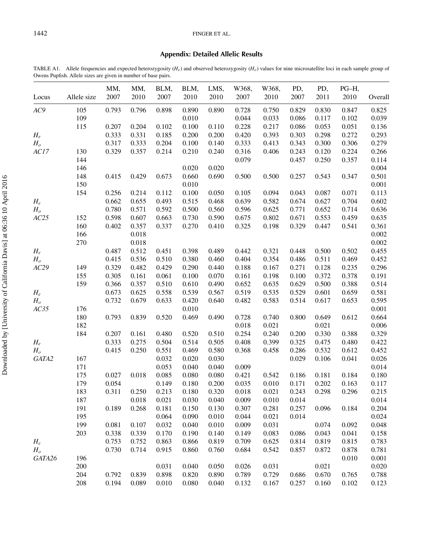#### 1442 FINGER ET AL.

### **Appendix: Detailed Allelic Results**

TABLE A1. Allele frequencies and expected heterozygosity (*He*) and observed heterozygosity (*Ho*) values for nine microsatellite loci in each sample group of Owens Pupfish. Allele sizes are given in number of base pairs.

| Locus   | Allele size | MM,<br>2007 | MM,<br>2010 | BLM,<br>2007 | BLM,<br>2010 | LMS,<br>2010 | W368,<br>2007 | W368,<br>2010 | PD,<br>2007 | PD,<br>2011 | PG-H,<br>2010 | Overall |
|---------|-------------|-------------|-------------|--------------|--------------|--------------|---------------|---------------|-------------|-------------|---------------|---------|
| AC9     | 105         | 0.793       | 0.796       | 0.898        | 0.890        | 0.890        | 0.728         | 0.750         | 0.829       | 0.830       | 0.847         | 0.825   |
|         | 109         |             |             |              | 0.010        |              | 0.044         | 0.033         | 0.086       | 0.117       | 0.102         | 0.039   |
|         | 115         | 0.207       | 0.204       | 0.102        | 0.100        | 0.110        | 0.228         | 0.217         | 0.086       | 0.053       | 0.051         | 0.136   |
| $H_e\,$ |             | 0.333       | 0.331       | 0.185        | 0.200        | 0.200        | 0.420         | 0.393         | 0.303       | 0.298       | 0.272         | 0.293   |
| $H_o$   |             | 0.317       | 0.333       | 0.204        | 0.100        | 0.140        | 0.333         | 0.413         | 0.343       | 0.300       | 0.306         | 0.279   |
| AC17    | 130         | 0.329       | 0.357       | 0.214        | 0.210        | 0.240        | 0.316         | 0.406         | 0.243       | 0.120       | 0.224         | 0.266   |
|         | 144         |             |             |              |              |              | 0.079         |               | 0.457       | 0.250       | 0.357         | 0.114   |
|         | 146         |             |             |              | 0.020        | 0.020        |               |               |             |             |               | 0.004   |
|         | 148         | 0.415       | 0.429       | 0.673        | 0.660        | 0.690        | 0.500         | 0.500         | 0.257       | 0.543       | 0.347         | 0.501   |
|         | 150         |             |             |              | 0.010        |              |               |               |             |             |               | 0.001   |
|         | 154         | 0.256       | 0.214       | 0.112        | 0.100        | 0.050        | 0.105         | 0.094         | 0.043       | 0.087       | 0.071         | 0.113   |
| $H_e$   |             | 0.662       | 0.655       | 0.493        | 0.515        | 0.468        | 0.639         | 0.582         | 0.674       | 0.627       | 0.704         | 0.602   |
| $H_o$   |             | 0.780       | 0.571       | 0.592        | 0.500        | 0.560        | 0.596         | 0.625         | 0.771       | 0.652       | 0.714         | 0.636   |
| AC25    | 152         | 0.598       | 0.607       | 0.663        | 0.730        | 0.590        | 0.675         | 0.802         | 0.671       | 0.553       | 0.459         | 0.635   |
|         | 160         | 0.402       | 0.357       | 0.337        | 0.270        | 0.410        | 0.325         | 0.198         | 0.329       | 0.447       | 0.541         | 0.361   |
|         | 166         |             | 0.018       |              |              |              |               |               |             |             |               | 0.002   |
|         | 270         |             | 0.018       |              |              |              |               |               |             |             |               | 0.002   |
| $H_e$   |             | 0.487       | 0.512       | 0.451        | 0.398        | 0.489        | 0.442         | 0.321         | 0.448       | 0.500       | 0.502         | 0.455   |
| $H_o$   |             | 0.415       | 0.536       | 0.510        | 0.380        | 0.460        | 0.404         | 0.354         | 0.486       | 0.511       | 0.469         | 0.452   |
| AC29    | 149         | 0.329       | 0.482       | 0.429        | 0.290        | 0.440        | 0.188         | 0.167         | 0.271       | 0.128       | 0.235         | 0.296   |
|         | 155         | 0.305       | 0.161       | 0.061        | 0.100        | 0.070        | 0.161         | 0.198         | 0.100       | 0.372       | 0.378         | 0.191   |
|         | 159         | 0.366       | 0.357       | 0.510        | 0.610        | 0.490        | 0.652         | 0.635         | 0.629       | 0.500       | 0.388         | 0.514   |
| $H_e\,$ |             | 0.673       | 0.625       | 0.558        | 0.539        | 0.567        | 0.519         | 0.535         | 0.529       | 0.601       | 0.659         | 0.581   |
| $H_o$   |             | 0.732       | 0.679       | 0.633        | 0.420        | 0.640        | 0.482         | 0.583         | 0.514       | 0.617       | 0.653         | 0.595   |
| AC35    | 176         |             |             |              | 0.010        |              |               |               |             |             |               | 0.001   |
|         | 180         | 0.793       | 0.839       | 0.520        | 0.469        | 0.490        | 0.728         | 0.740         | 0.800       | 0.649       | 0.612         | 0.664   |
|         | 182         |             |             |              |              |              | 0.018         | 0.021         |             | 0.021       |               | 0.006   |
|         | 184         | 0.207       | 0.161       | 0.480        | 0.520        | 0.510        | 0.254         | 0.240         | 0.200       | 0.330       | 0.388         | 0.329   |
| $H_e$   |             | 0.333       | 0.275       | 0.504        | 0.514        | 0.505        | 0.408         | 0.399         | 0.325       | 0.475       | 0.480         | 0.422   |
| $H_o$   |             | 0.415       | 0.250       | 0.551        | 0.469        | 0.580        | 0.368         | 0.458         | 0.286       | 0.532       | 0.612         | 0.452   |
| GATA2   | 167         |             |             | 0.032        | 0.020        | 0.030        |               |               | 0.029       | 0.106       | 0.041         | 0.026   |
|         | 171         |             |             | 0.053        | 0.040        | 0.040        | 0.009         |               |             |             |               | 0.014   |
|         | 175         | 0.027       | 0.018       | 0.085        | 0.080        | 0.080        | 0.421         | 0.542         | 0.186       | 0.181       | 0.184         | 0.180   |
|         | 179         | 0.054       |             | 0.149        | 0.180        | 0.200        | 0.035         | 0.010         | 0.171       | 0.202       | 0.163         | 0.117   |
|         | 183         | 0.311       | 0.250       | 0.213        | 0.180        | 0.320        | 0.018         | 0.021         | 0.243       | 0.298       | 0.296         | 0.215   |
|         | 187         |             | 0.018       | 0.021        | 0.030        | 0.040        | 0.009         | 0.010         | 0.014       |             |               | 0.014   |
|         | 191         | 0.189       | 0.268       | 0.181        | 0.150        | 0.130        | 0.307         | 0.281         | 0.257       | 0.096       | 0.184         | 0.204   |
|         | 195         |             |             | 0.064        | 0.090        | 0.010        | 0.044         | 0.021         | 0.014       |             |               | 0.024   |
|         | 199         | 0.081       | 0.107       | 0.032        | 0.040        | 0.010        | 0.009         | 0.031         |             | 0.074       | 0.092         | 0.048   |
|         | 203         | 0.338       | 0.339       | 0.170        | 0.190        | 0.140        | 0.149         | 0.083         | 0.086       | 0.043       | 0.041         | 0.158   |
| $H_e$   |             | 0.753       | 0.752       | 0.863        | 0.866        | 0.819        | 0.709         | 0.625         | 0.814       | 0.819       | 0.815         | 0.783   |
| $H_o$   |             | 0.730       | 0.714       | 0.915        | 0.860        | 0.760        | 0.684         | 0.542         | 0.857       | 0.872       | 0.878         | 0.781   |
| GATA26  | 196         |             |             |              |              |              |               |               |             |             | 0.010         | 0.001   |
|         | 200         |             |             | 0.031        | 0.040        | 0.050        | 0.026         | 0.031         |             | 0.021       |               | 0.020   |
|         | 204         | 0.792       | 0.839       | 0.898        | 0.820        | 0.890        | 0.789         | 0.729         | 0.686       | 0.670       | 0.765         | 0.788   |
|         | 208         | 0.194       | 0.089       | 0.010        | 0.080        | 0.040        | 0.132         | 0.167         | 0.257       | 0.160       | 0.102         | 0.123   |